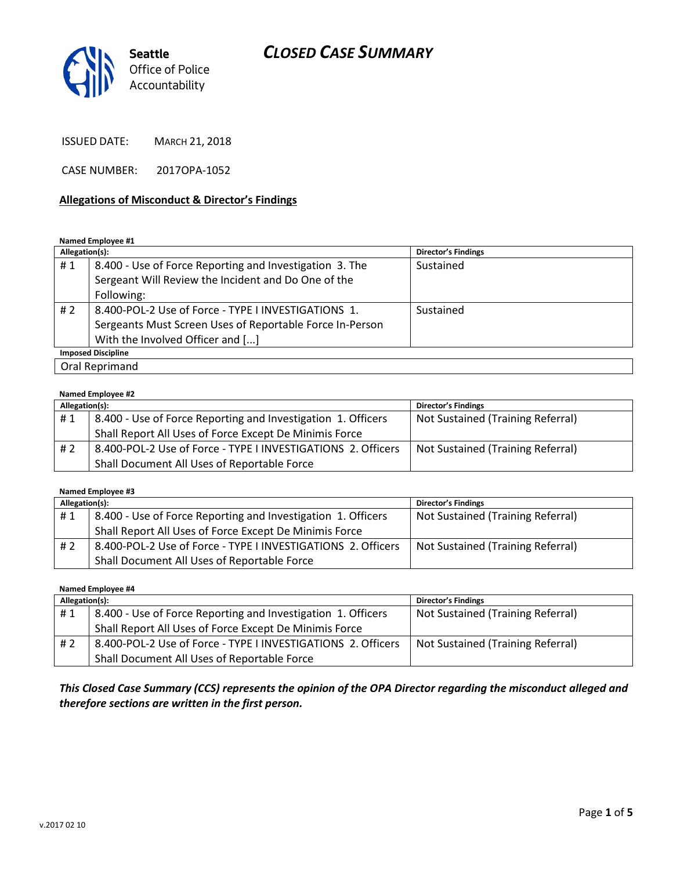

ISSUED DATE: MARCH 21, 2018

CASE NUMBER: 2017OPA-1052

### **Allegations of Misconduct & Director's Findings**

#### **Named Employee #1**

| Allegation(s):            |                                                          | Director's Findings |  |  |
|---------------------------|----------------------------------------------------------|---------------------|--|--|
| #1                        | 8.400 - Use of Force Reporting and Investigation 3. The  | Sustained           |  |  |
|                           | Sergeant Will Review the Incident and Do One of the      |                     |  |  |
|                           | Following:                                               |                     |  |  |
| # 2                       | 8.400-POL-2 Use of Force - TYPE I INVESTIGATIONS 1.      | Sustained           |  |  |
|                           | Sergeants Must Screen Uses of Reportable Force In-Person |                     |  |  |
|                           | With the Involved Officer and []                         |                     |  |  |
| <b>Imposed Discipline</b> |                                                          |                     |  |  |
| Oral Reprimand            |                                                          |                     |  |  |

#### **Named Employee #2**

| Allegation(s): |                                                              | <b>Director's Findings</b>        |
|----------------|--------------------------------------------------------------|-----------------------------------|
| #1             | 8.400 - Use of Force Reporting and Investigation 1. Officers | Not Sustained (Training Referral) |
|                | Shall Report All Uses of Force Except De Minimis Force       |                                   |
| # 2            | 8.400-POL-2 Use of Force - TYPE I INVESTIGATIONS 2. Officers | Not Sustained (Training Referral) |
|                | Shall Document All Uses of Reportable Force                  |                                   |

#### **Named Employee #3**

| Allegation(s): |                                                              | <b>Director's Findings</b>        |
|----------------|--------------------------------------------------------------|-----------------------------------|
| #1             | 8.400 - Use of Force Reporting and Investigation 1. Officers | Not Sustained (Training Referral) |
|                | Shall Report All Uses of Force Except De Minimis Force       |                                   |
| #2             | 8.400-POL-2 Use of Force - TYPE I INVESTIGATIONS 2. Officers | Not Sustained (Training Referral) |
|                | Shall Document All Uses of Reportable Force                  |                                   |

**Named Employee #4**

| Allegation(s): |                                                              | <b>Director's Findings</b>        |
|----------------|--------------------------------------------------------------|-----------------------------------|
| #1             | 8.400 - Use of Force Reporting and Investigation 1. Officers | Not Sustained (Training Referral) |
|                | Shall Report All Uses of Force Except De Minimis Force       |                                   |
| # 2            | 8.400-POL-2 Use of Force - TYPE I INVESTIGATIONS 2. Officers | Not Sustained (Training Referral) |
|                | Shall Document All Uses of Reportable Force                  |                                   |

*This Closed Case Summary (CCS) represents the opinion of the OPA Director regarding the misconduct alleged and therefore sections are written in the first person.*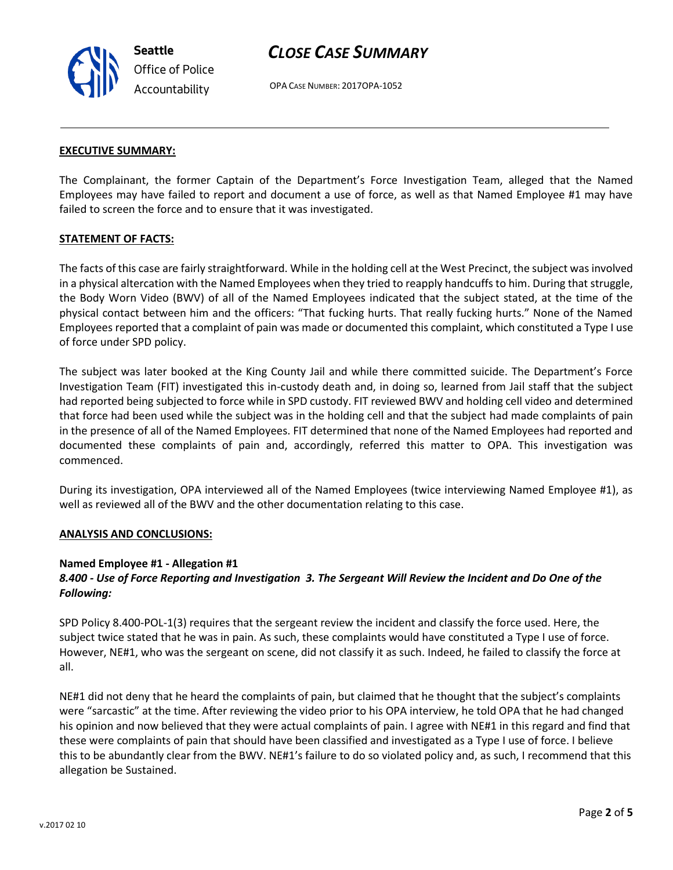OPA CASE NUMBER: 2017OPA-1052

#### **EXECUTIVE SUMMARY:**

The Complainant, the former Captain of the Department's Force Investigation Team, alleged that the Named Employees may have failed to report and document a use of force, as well as that Named Employee #1 may have failed to screen the force and to ensure that it was investigated.

#### **STATEMENT OF FACTS:**

The facts of this case are fairly straightforward. While in the holding cell at the West Precinct, the subject was involved in a physical altercation with the Named Employees when they tried to reapply handcuffs to him. During that struggle, the Body Worn Video (BWV) of all of the Named Employees indicated that the subject stated, at the time of the physical contact between him and the officers: "That fucking hurts. That really fucking hurts." None of the Named Employees reported that a complaint of pain was made or documented this complaint, which constituted a Type I use of force under SPD policy.

The subject was later booked at the King County Jail and while there committed suicide. The Department's Force Investigation Team (FIT) investigated this in-custody death and, in doing so, learned from Jail staff that the subject had reported being subjected to force while in SPD custody. FIT reviewed BWV and holding cell video and determined that force had been used while the subject was in the holding cell and that the subject had made complaints of pain in the presence of all of the Named Employees. FIT determined that none of the Named Employees had reported and documented these complaints of pain and, accordingly, referred this matter to OPA. This investigation was commenced.

During its investigation, OPA interviewed all of the Named Employees (twice interviewing Named Employee #1), as well as reviewed all of the BWV and the other documentation relating to this case.

#### **ANALYSIS AND CONCLUSIONS:**

#### **Named Employee #1 - Allegation #1**

## *8.400 - Use of Force Reporting and Investigation 3. The Sergeant Will Review the Incident and Do One of the Following:*

SPD Policy 8.400-POL-1(3) requires that the sergeant review the incident and classify the force used. Here, the subject twice stated that he was in pain. As such, these complaints would have constituted a Type I use of force. However, NE#1, who was the sergeant on scene, did not classify it as such. Indeed, he failed to classify the force at all.

NE#1 did not deny that he heard the complaints of pain, but claimed that he thought that the subject's complaints were "sarcastic" at the time. After reviewing the video prior to his OPA interview, he told OPA that he had changed his opinion and now believed that they were actual complaints of pain. I agree with NE#1 in this regard and find that these were complaints of pain that should have been classified and investigated as a Type I use of force. I believe this to be abundantly clear from the BWV. NE#1's failure to do so violated policy and, as such, I recommend that this allegation be Sustained.



**Seattle** *Office of Police Accountability*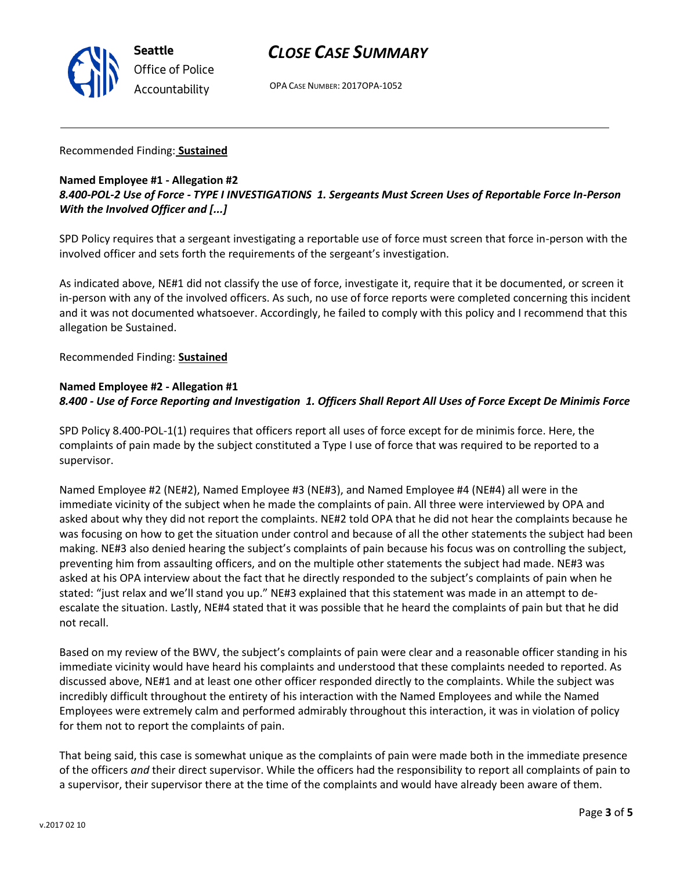

OPA CASE NUMBER: 2017OPA-1052

## Recommended Finding: **Sustained**

## **Named Employee #1 - Allegation #2** *8.400-POL-2 Use of Force - TYPE I INVESTIGATIONS 1. Sergeants Must Screen Uses of Reportable Force In-Person With the Involved Officer and [...]*

SPD Policy requires that a sergeant investigating a reportable use of force must screen that force in-person with the involved officer and sets forth the requirements of the sergeant's investigation.

As indicated above, NE#1 did not classify the use of force, investigate it, require that it be documented, or screen it in-person with any of the involved officers. As such, no use of force reports were completed concerning this incident and it was not documented whatsoever. Accordingly, he failed to comply with this policy and I recommend that this allegation be Sustained.

Recommended Finding: **Sustained**

## **Named Employee #2 - Allegation #1** *8.400 - Use of Force Reporting and Investigation 1. Officers Shall Report All Uses of Force Except De Minimis Force*

SPD Policy 8.400-POL-1(1) requires that officers report all uses of force except for de minimis force. Here, the complaints of pain made by the subject constituted a Type I use of force that was required to be reported to a supervisor.

Named Employee #2 (NE#2), Named Employee #3 (NE#3), and Named Employee #4 (NE#4) all were in the immediate vicinity of the subject when he made the complaints of pain. All three were interviewed by OPA and asked about why they did not report the complaints. NE#2 told OPA that he did not hear the complaints because he was focusing on how to get the situation under control and because of all the other statements the subject had been making. NE#3 also denied hearing the subject's complaints of pain because his focus was on controlling the subject, preventing him from assaulting officers, and on the multiple other statements the subject had made. NE#3 was asked at his OPA interview about the fact that he directly responded to the subject's complaints of pain when he stated: "just relax and we'll stand you up." NE#3 explained that this statement was made in an attempt to deescalate the situation. Lastly, NE#4 stated that it was possible that he heard the complaints of pain but that he did not recall.

Based on my review of the BWV, the subject's complaints of pain were clear and a reasonable officer standing in his immediate vicinity would have heard his complaints and understood that these complaints needed to reported. As discussed above, NE#1 and at least one other officer responded directly to the complaints. While the subject was incredibly difficult throughout the entirety of his interaction with the Named Employees and while the Named Employees were extremely calm and performed admirably throughout this interaction, it was in violation of policy for them not to report the complaints of pain.

That being said, this case is somewhat unique as the complaints of pain were made both in the immediate presence of the officers *and* their direct supervisor. While the officers had the responsibility to report all complaints of pain to a supervisor, their supervisor there at the time of the complaints and would have already been aware of them.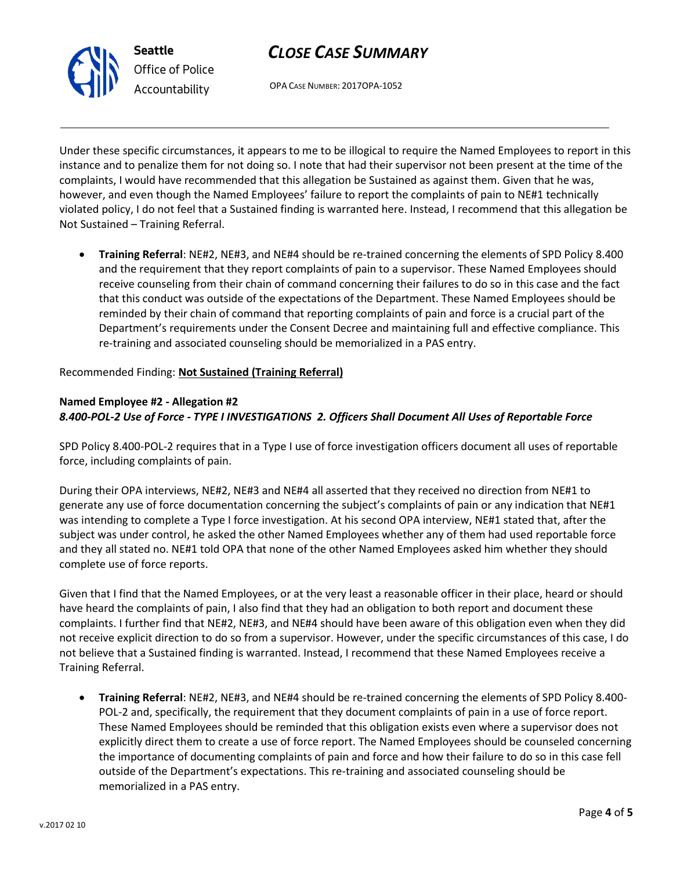

OPA CASE NUMBER: 2017OPA-1052

Under these specific circumstances, it appears to me to be illogical to require the Named Employees to report in this instance and to penalize them for not doing so. I note that had their supervisor not been present at the time of the complaints, I would have recommended that this allegation be Sustained as against them. Given that he was, however, and even though the Named Employees' failure to report the complaints of pain to NE#1 technically violated policy, I do not feel that a Sustained finding is warranted here. Instead, I recommend that this allegation be Not Sustained – Training Referral.

• **Training Referral**: NE#2, NE#3, and NE#4 should be re-trained concerning the elements of SPD Policy 8.400 and the requirement that they report complaints of pain to a supervisor. These Named Employees should receive counseling from their chain of command concerning their failures to do so in this case and the fact that this conduct was outside of the expectations of the Department. These Named Employees should be reminded by their chain of command that reporting complaints of pain and force is a crucial part of the Department's requirements under the Consent Decree and maintaining full and effective compliance. This re-training and associated counseling should be memorialized in a PAS entry.

Recommended Finding: **Not Sustained (Training Referral)**

## **Named Employee #2 - Allegation #2** *8.400-POL-2 Use of Force - TYPE I INVESTIGATIONS 2. Officers Shall Document All Uses of Reportable Force*

SPD Policy 8.400-POL-2 requires that in a Type I use of force investigation officers document all uses of reportable force, including complaints of pain.

During their OPA interviews, NE#2, NE#3 and NE#4 all asserted that they received no direction from NE#1 to generate any use of force documentation concerning the subject's complaints of pain or any indication that NE#1 was intending to complete a Type I force investigation. At his second OPA interview, NE#1 stated that, after the subject was under control, he asked the other Named Employees whether any of them had used reportable force and they all stated no. NE#1 told OPA that none of the other Named Employees asked him whether they should complete use of force reports.

Given that I find that the Named Employees, or at the very least a reasonable officer in their place, heard or should have heard the complaints of pain, I also find that they had an obligation to both report and document these complaints. I further find that NE#2, NE#3, and NE#4 should have been aware of this obligation even when they did not receive explicit direction to do so from a supervisor. However, under the specific circumstances of this case, I do not believe that a Sustained finding is warranted. Instead, I recommend that these Named Employees receive a Training Referral.

• **Training Referral**: NE#2, NE#3, and NE#4 should be re-trained concerning the elements of SPD Policy 8.400- POL-2 and, specifically, the requirement that they document complaints of pain in a use of force report. These Named Employees should be reminded that this obligation exists even where a supervisor does not explicitly direct them to create a use of force report. The Named Employees should be counseled concerning the importance of documenting complaints of pain and force and how their failure to do so in this case fell outside of the Department's expectations. This re-training and associated counseling should be memorialized in a PAS entry.